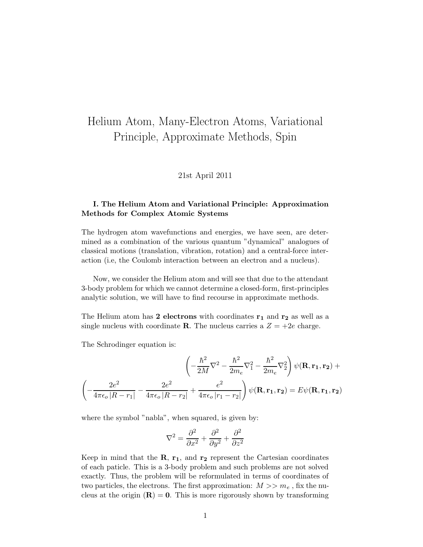# Helium Atom, Many-Electron Atoms, Variational Principle, Approximate Methods, Spin

### 21st April 2011

# I. The Helium Atom and Variational Principle: Approximation Methods for Complex Atomic Systems

The hydrogen atom wavefunctions and energies, we have seen, are determined as a combination of the various quantum "dynamical" analogues of classical motions (translation, vibration, rotation) and a central-force interaction (i.e, the Coulomb interaction between an electron and a nucleus).

Now, we consider the Helium atom and will see that due to the attendant 3-body problem for which we cannot determine a closed-form, first-principles analytic solution, we will have to find recourse in approximate methods.

The Helium atom has 2 electrons with coordinates  $r_1$  and  $r_2$  as well as a single nucleus with coordinate **R**. The nucleus carries a  $Z = +2e$  charge.

The Schrodinger equation is:

$$
\left(-\frac{\hbar^2}{2M}\nabla^2 - \frac{\hbar^2}{2m_e}\nabla_1^2 - \frac{\hbar^2}{2m_e}\nabla_2^2\right)\psi(\mathbf{R}, \mathbf{r_1}, \mathbf{r_2}) +
$$

$$
\left(-\frac{2e^2}{4\pi\epsilon_o|R - r_1|} - \frac{2e^2}{4\pi\epsilon_o|R - r_2|} + \frac{e^2}{4\pi\epsilon_o|r_1 - r_2|}\right)\psi(\mathbf{R}, \mathbf{r_1}, \mathbf{r_2}) = E\psi(\mathbf{R}, \mathbf{r_1}, \mathbf{r_2})
$$

where the symbol "nabla", when squared, is given by:

$$
\nabla^2 = \frac{\partial^2}{\partial x^2} + \frac{\partial^2}{\partial y^2} + \frac{\partial^2}{\partial z^2}
$$

Keep in mind that the  $\mathbf{R}, \mathbf{r_1},$  and  $\mathbf{r_2}$  represent the Cartesian coordinates of each paticle. This is a 3-body problem and such problems are not solved exactly. Thus, the problem will be reformulated in terms of coordinates of two particles, the electrons. The first approximation:  $M >> m_e$ , fix the nucleus at the origin  $(R) = 0$ . This is more rigorously shown by transforming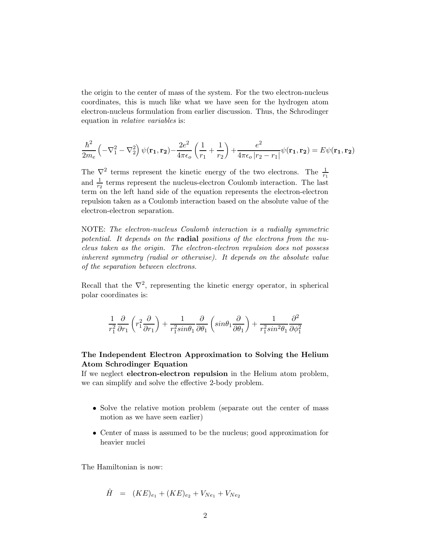the origin to the center of mass of the system. For the two electron-nucleus coordinates, this is much like what we have seen for the hydrogen atom electron-nucleus formulation from earlier discussion. Thus, the Schrodinger equation in relative variables is:

$$
\frac{\hbar^2}{2m_e} \left( -\nabla_1^2 - \nabla_2^2 \right) \psi(\mathbf{r_1}, \mathbf{r_2}) - \frac{2e^2}{4\pi\epsilon_o} \left( \frac{1}{r_1} + \frac{1}{r_2} \right) + \frac{e^2}{4\pi\epsilon_o \left| r_2 - r_1 \right|} \psi(\mathbf{r_1}, \mathbf{r_2}) = E\psi(\mathbf{r_1}, \mathbf{r_2})
$$

The  $\nabla^2$  terms represent the kinetic energy of the two electrons. The  $\frac{1}{r_1}$ and  $\frac{1}{r_2}$  terms represent the nucleus-electron Coulomb interaction. The last term on the left hand side of the equation represents the electron-electron repulsion taken as a Coulomb interaction based on the absolute value of the electron-electron separation.

NOTE: The electron-nucleus Coulomb interaction is a radially symmetric potential. It depends on the **radial** positions of the electrons from the nucleus taken as the origin. The electron-electron repulsion does not possess inherent symmetry (radial or otherwise). It depends on the absolute value of the separation between electrons.

Recall that the  $\nabla^2$ , representing the kinetic energy operator, in spherical polar coordinates is:

$$
\frac{1}{r_1^2}\frac{\partial}{\partial r_1}\left(r_1^2\frac{\partial}{\partial r_1}\right)+\frac{1}{r_1^2sin\theta_1}\frac{\partial}{\partial \theta_1}\left(sin\theta_1\frac{\partial}{\partial \theta_1}\right)+\frac{1}{r_1^2sin^2\theta_1}\frac{\partial^2}{\partial \phi_1^2}
$$

# The Independent Electron Approximation to Solving the Helium Atom Schrodinger Equation

If we neglect electron-electron repulsion in the Helium atom problem, we can simplify and solve the effective 2-body problem.

- Solve the relative motion problem (separate out the center of mass motion as we have seen earlier)
- Center of mass is assumed to be the nucleus; good approximation for heavier nuclei

The Hamiltonian is now:

$$
\hat{H} = (KE)_{e_1} + (KE)_{e_2} + V_{Ne_1} + V_{Ne_2}
$$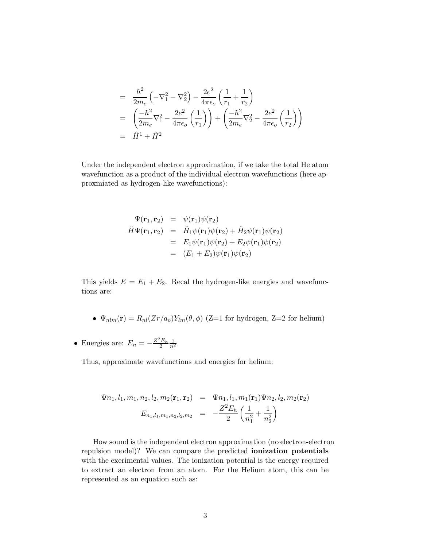$$
= \frac{\hbar^2}{2m_e} \left( -\nabla_1^2 - \nabla_2^2 \right) - \frac{2e^2}{4\pi\epsilon_o} \left( \frac{1}{r_1} + \frac{1}{r_2} \right)
$$
  
=  $\left( \frac{-\hbar^2}{2m_e} \nabla_1^2 - \frac{2e^2}{4\pi\epsilon_o} \left( \frac{1}{r_1} \right) \right) + \left( \frac{-\hbar^2}{2m_e} \nabla_2^2 - \frac{2e^2}{4\pi\epsilon_o} \left( \frac{1}{r_2} \right) \right)$   
=  $\hat{H}^1 + \hat{H}^2$ 

Under the independent electron approximation, if we take the total He atom wavefunction as a product of the individual electron wavefunctions (here approxmiated as hydrogen-like wavefunctions):

$$
\Psi(\mathbf{r}_1, \mathbf{r}_2) = \psi(\mathbf{r}_1)\psi(\mathbf{r}_2)
$$
\n
$$
\hat{H}\Psi(\mathbf{r}_1, \mathbf{r}_2) = \hat{H}_1\psi(\mathbf{r}_1)\psi(\mathbf{r}_2) + \hat{H}_2\psi(\mathbf{r}_1)\psi(\mathbf{r}_2)
$$
\n
$$
= E_1\psi(\mathbf{r}_1)\psi(\mathbf{r}_2) + E_2\psi(\mathbf{r}_1)\psi(\mathbf{r}_2)
$$
\n
$$
= (E_1 + E_2)\psi(\mathbf{r}_1)\psi(\mathbf{r}_2)
$$

This yields  $E = E_1 + E_2$ . Recal the hydrogen-like energies and wavefunctions are:

- $\Psi_{nlm}(\mathbf{r}) = R_{nl}(Zr/a_o)Y_{lm}(\theta, \phi)$  (Z=1 for hydrogen, Z=2 for helium)
- Energies are:  $E_n = -\frac{Z^2 E_h}{2}$ 2  $\frac{1}{n^2}$

Thus, approximate wavefunctions and energies for helium:

$$
\Psi n_1, l_1, m_1, n_2, l_2, m_2(\mathbf{r}_1, \mathbf{r}_2) = \Psi n_1, l_1, m_1(\mathbf{r}_1) \Psi n_2, l_2, m_2(\mathbf{r}_2)
$$

$$
E_{n_1, l_1, m_1, n_2, l_2, m_2} = -\frac{Z^2 E_h}{2} \left( \frac{1}{n_1^2} + \frac{1}{n_2^2} \right)
$$

How sound is the independent electron approximation (no electron-electron repulsion model)? We can compare the predicted ionization potentials with the exerimental values. The ionization potential is the energy required to extract an electron from an atom. For the Helium atom, this can be represented as an equation such as: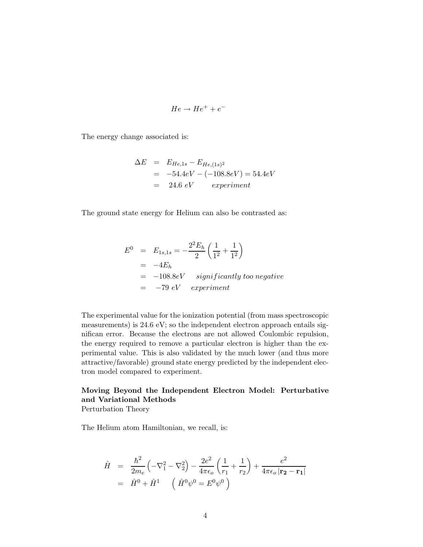$$
He \to He^+ + e^-
$$

The energy change associated is:

$$
\Delta E = E_{He,1s} - E_{He,(1s)^2}
$$
  
= -54.4eV - (-108.8eV) = 54.4eV  
= 24.6 eV *experiment*

The ground state energy for Helium can also be contrasted as:

$$
E^0 = E_{1s,1s} = -\frac{2^2 E_h}{2} \left( \frac{1}{1^2} + \frac{1}{1^2} \right)
$$
  
= -4E<sub>h</sub>  
= -108.8eV significantly too negative  
= -79 eV experiment

The experimental value for the ionization potential (from mass spectroscopic measurements) is 24.6 eV; so the independent electron approach entails significan error. Because the electrons are not allowed Coulombic repulsion, the energy required to remove a particular electron is higher than the experimental value. This is also validated by the much lower (and thus more attractive/favorable) ground state energy predicted by the independent electron model compared to experiment.

# Moving Beyond the Independent Electron Model: Perturbative and Variational Methods

Perturbation Theory

The Helium atom Hamiltonian, we recall, is:

$$
\hat{H} = \frac{\hbar^2}{2m_e} \left( -\nabla_1^2 - \nabla_2^2 \right) - \frac{2e^2}{4\pi\epsilon_o} \left( \frac{1}{r_1} + \frac{1}{r_2} \right) + \frac{e^2}{4\pi\epsilon_o |\mathbf{r}_2 - \mathbf{r}_1|}
$$
  
=  $\hat{H}^0 + \hat{H}^1$   $\left( \hat{H}^0 \psi^0 = E^0 \psi^0 \right)$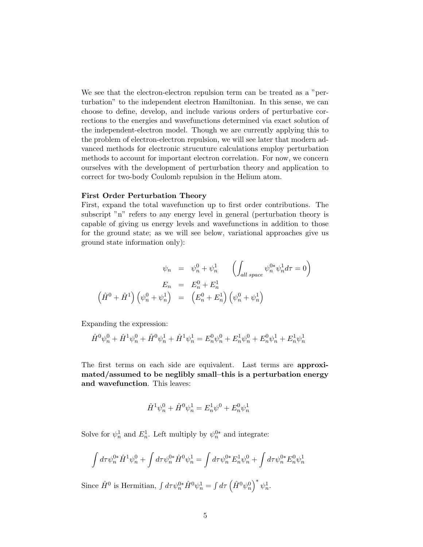We see that the electron-electron repulsion term can be treated as a "perturbation" to the independent electron Hamiltonian. In this sense, we can choose to define, develop, and include various orders of perturbative corrections to the energies and wavefunctions determined via exact solution of the independent-electron model. Though we are currently applying this to the problem of electron-electron repulsion, we will see later that modern advanced methods for electronic strucuture calculations employ perturbation methods to account for important electron correlation. For now, we concern ourselves with the development of perturbation theory and application to correct for two-body Coulomb repulsion in the Helium atom.

#### First Order Perturbation Theory

First, expand the total wavefunction up to first order contributions. The subscript "n" refers to any energy level in general (perturbation theory is capable of giving us energy levels and wavefunctions in addition to those for the ground state; as we will see below, variational approaches give us ground state information only):

$$
\psi_n = \psi_n^0 + \psi_n^1 \qquad \left( \int_{all \ space} \psi_n^{0*} \psi_n^1 d\tau = 0 \right)
$$

$$
E_n = E_n^0 + E_n^1
$$

$$
(\hat{H}^0 + \hat{H}^1) \left( \psi_n^0 + \psi_n^1 \right) = \left( E_n^0 + E_n^1 \right) \left( \psi_n^0 + \psi_n^1 \right)
$$

Expanding the expression:

$$
\hat{H}^{0}\psi_{n}^{0} + \hat{H}^{1}\psi_{n}^{0} + \hat{H}^{0}\psi_{n}^{1} + \hat{H}^{1}\psi_{n}^{1} = E_{n}^{0}\psi_{n}^{0} + E_{n}^{1}\psi_{n}^{0} + E_{n}^{0}\psi_{n}^{1} + E_{n}^{1}\psi_{n}^{1}
$$

The first terms on each side are equivalent. Last terms are approximated/assumed to be neglibly small–this is a perturbation energy and wavefunction. This leaves:

$$
\hat{H}^1 \psi_n^0 + \hat{H}^0 \psi_n^1 = E_n^1 \psi^0 + E_n^0 \psi_n^1
$$

Solve for  $\psi_n^1$  and  $E_n^1$ . Left multiply by  $\psi_n^{0*}$  and integrate:

$$
\int d\tau \psi_n^{0*} \hat{H}^1 \psi_n^0 + \int d\tau \psi_n^{0*} \hat{H}^0 \psi_n^1 = \int d\tau \psi_n^{0*} E_n^1 \psi_n^0 + \int d\tau \psi_n^{0*} E_n^0 \psi_n^1
$$

Since  $\hat{H}^0$  is Hermitian,  $\int d\tau \psi_n^{0*} \hat{H}^0 \psi_n^1 = \int d\tau \left(\hat{H}^0 \psi_n^0\right)^* \psi_n^1$ .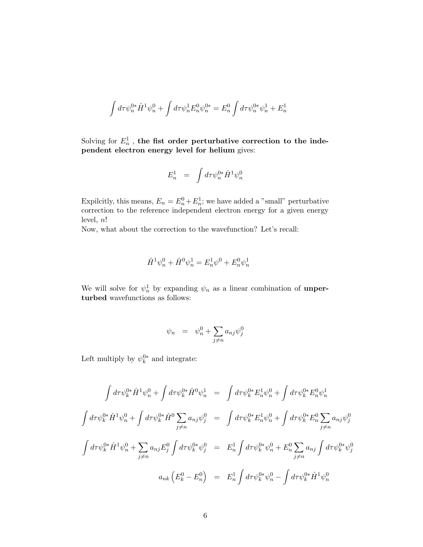$$
\int d\tau \psi_n^{0*} \hat{H}^1 \psi_n^0 + \int d\tau \psi_n^1 E_n^0 \psi_n^{0*} = E_n^0 \int d\tau \psi_n^{0*} \psi_n^1 + E_n^1
$$

Solving for  $E_n^1$ , the fist order perturbative correction to the independent electron energy level for helium gives:

$$
E^1_n \;\; = \;\; \int d\tau \psi^{0*}_n \hat{H}^1 \psi^0_n
$$

Expilcitly, this means,  $E_n = E_n^0 + E_n^1$ ; we have added a "small" perturbative correction to the reference independent electron energy for a given energy level,  $n!$ 

Now, what about the correction to the wavefunction? Let's recall:

$$
\hat{H}^1 \psi_n^0 + \hat{H}^0 \psi_n^1 = E_n^1 \psi^0 + E_n^0 \psi_n^1
$$

We will solve for  $\psi_n^1$  by expanding  $\psi_n$  as a linear combination of **unper**turbed wavefunctions as follows:

$$
\psi_n = \psi_n^0 + \sum_{j \neq n} a_{nj} \psi_j^0
$$

Left multiply by  $\psi_k^{0*}$  and integrate:

$$
\int d\tau \psi_k^{0*} \hat{H}^1 \psi_n^0 + \int d\tau \psi_k^{0*} \hat{H}^0 \psi_n^1 = \int d\tau \psi_k^{0*} E_n^1 \psi_n^0 + \int d\tau \psi_k^{0*} E_n^0 \psi_n^1
$$
  

$$
\int d\tau \psi_k^{0*} \hat{H}^1 \psi_n^0 + \int d\tau \psi_k^{0*} \hat{H}^0 \sum_{j \neq n} a_{nj} \psi_j^0 = \int d\tau \psi_k^{0*} E_n^1 \psi_n^0 + \int d\tau \psi_k^{0*} E_n^0 \sum_{j \neq n} a_{nj} \psi_j^0
$$
  

$$
\int d\tau \psi_k^{0*} \hat{H}^1 \psi_n^0 + \sum_{j \neq n} a_{nj} E_j^0 \int d\tau \psi_k^{0*} \psi_j^0 = E_n^1 \int d\tau \psi_k^{0*} \psi_n^0 + E_n^0 \sum_{j \neq n} a_{nj} \int d\tau \psi_k^{0*} \psi_j^0
$$
  

$$
a_{nk} (E_k^0 - E_n^0) = E_n^1 \int d\tau \psi_k^{0*} \psi_n^0 - \int d\tau \psi_k^{0*} \hat{H}^1 \psi_n^0
$$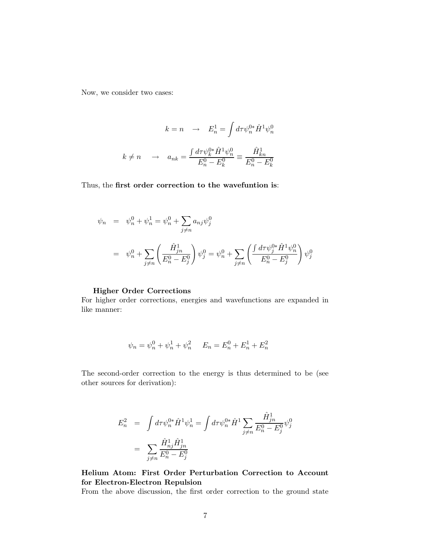Now, we consider two cases:

$$
k = n \quad \rightarrow \quad E_n^1 = \int d\tau \psi_n^{0*} \hat{H}^1 \psi_n^0
$$

$$
k \neq n \quad \rightarrow \quad a_{nk} = \frac{\int d\tau \psi_k^{0*} \hat{H}^1 \psi_n^0}{E_n^0 - E_k^0} \equiv \frac{\hat{H}_{kn}^1}{E_n^0 - E_k^0}
$$

Thus, the first order correction to the wavefuntion is:

$$
\psi_n = \psi_n^0 + \psi_n^1 = \psi_n^0 + \sum_{j \neq n} a_{nj} \psi_j^0
$$
  
= 
$$
\psi_n^0 + \sum_{j \neq n} \left( \frac{\hat{H}_{jn}^1}{E_n^0 - E_j^0} \right) \psi_j^0 = \psi_n^0 + \sum_{j \neq n} \left( \frac{\int d\tau \psi_j^{0*} \hat{H}^1 \psi_n^0}{E_n^0 - E_j^0} \right) \psi_j^0
$$

# Higher Order Corrections

For higher order corrections, energies and wavefunctions are expanded in like manner:

$$
\psi_n = \psi_n^0 + \psi_n^1 + \psi_n^2 \qquad E_n = E_n^0 + E_n^1 + E_n^2
$$

The second-order correction to the energy is thus determined to be (see other sources for derivation):

$$
E_n^2 = \int d\tau \psi_n^{0*} \hat{H}^1 \psi_n^1 = \int d\tau \psi_n^{0*} \hat{H}^1 \sum_{j \neq n} \frac{\hat{H}_{jn}^1}{E_n^0 - E_j^0} \psi_j^0
$$
  
= 
$$
\sum_{j \neq n} \frac{\hat{H}_{nj}^1 \hat{H}_{jn}^1}{E_n^0 - E_j^0}
$$

Helium Atom: First Order Perturbation Correction to Account for Electron-Electron Repulsion

From the above discussion, the first order correction to the ground state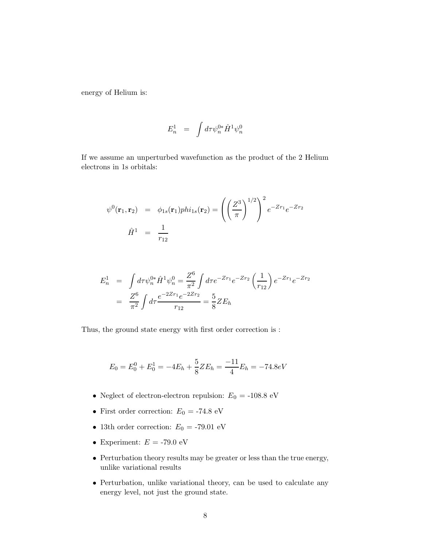energy of Helium is:

$$
E^1_n \;\; = \;\; \int d\tau \psi^{0*}_n \hat{H}^1 \psi^0_n
$$

If we assume an unperturbed wavefunction as the product of the 2 Helium electrons in 1s orbitals:

$$
\psi^0(\mathbf{r}_1, \mathbf{r}_2) = \phi_{1s}(\mathbf{r}_1) \text{phi}_{1s}(\mathbf{r}_2) = \left( \left( \frac{Z^3}{\pi} \right)^{1/2} \right)^2 e^{-Zr_1} e^{-Zr_2}
$$

$$
\hat{H}^1 = \frac{1}{r_{12}}
$$

$$
E_n^1 = \int d\tau \psi_n^{0*} \hat{H}^1 \psi_n^0 = \frac{Z^6}{\pi^2} \int d\tau e^{-Zr_1} e^{-Zr_2} \left(\frac{1}{r_{12}}\right) e^{-Zr_1} e^{-Zr_2}
$$
  
= 
$$
\frac{Z^6}{\pi^2} \int d\tau \frac{e^{-2Zr_1} e^{-2Zr_2}}{r_{12}} = \frac{5}{8} Z E_h
$$

Thus, the ground state energy with first order correction is :

$$
E_0 = E_0^0 + E_0^1 = -4E_h + \frac{5}{8}ZE_h = \frac{-11}{4}E_h = -74.8eV
$$

- $\bullet\,$  Neglect of electron-electron repulsion:  $E_0 =$  -108.8 eV
- $\bullet\,$  First order correction:  $E_0$  = -74.8 eV
- 13th order correction:  $E_0 = -79.01 \text{ eV}$
- Experiment:  $E =$  -79.0  $\rm eV$
- Perturbation theory results may be greater or less than the true energy, unlike variational results
- Perturbation, unlike variational theory, can be used to calculate any energy level, not just the ground state.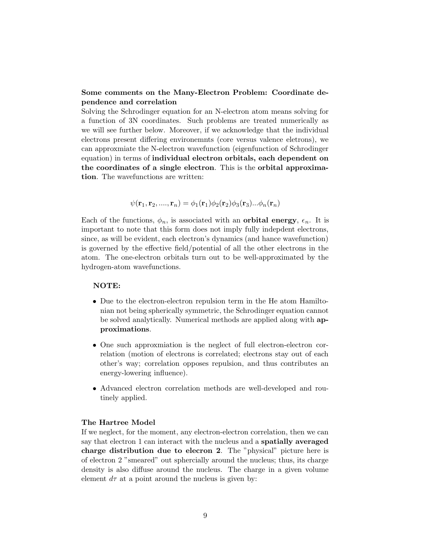## Some comments on the Many-Electron Problem: Coordinate dependence and correlation

Solving the Schrodinger equation for an N-electron atom means solving for a function of 3N coordinates. Such problems are treated numerically as we will see further below. Moreover, if we acknowledge that the individual electrons present differing environemnts (core versus valence eletrons), we can approxmiate the N-electron wavefunction (eigenfunction of Schrodinger equation) in terms of individual electron orbitals, each dependent on the coordinates of a single electron. This is the orbital approximation. The wavefunctions are written:

$$
\psi(\mathbf{r}_1, \mathbf{r}_2, \ldots, \mathbf{r}_n) = \phi_1(\mathbf{r}_1)\phi_2(\mathbf{r}_2)\phi_3(\mathbf{r}_3)\ldots\phi_n(\mathbf{r}_n)
$$

Each of the functions,  $\phi_n$ , is associated with an **orbital energy**,  $\epsilon_n$ . It is important to note that this form does not imply fully indepdent electrons, since, as will be evident, each electron's dynamics (and hance wavefunction) is governed by the effective field/potential of all the other electrons in the atom. The one-electron orbitals turn out to be well-approximated by the hydrogen-atom wavefunctions.

#### NOTE:

- Due to the electron-electron repulsion term in the He atom Hamiltonian not being spherically symmetric, the Schrodinger equation cannot be solved analytically. Numerical methods are applied along with approximations.
- One such approxmiation is the neglect of full electron-electron correlation (motion of electrons is correlated; electrons stay out of each other's way; correlation opposes repulsion, and thus contributes an energy-lowering influence).
- Advanced electron correlation methods are well-developed and routinely applied.

#### The Hartree Model

If we neglect, for the moment, any electron-electron correlation, then we can say that electron 1 can interact with the nucleus and a spatially averaged charge distribution due to elecron 2. The "physical" picture here is of electron 2 "smeared" out sphercially around the nucleus; thus, its charge density is also diffuse around the nucleus. The charge in a given volume element  $d\tau$  at a point around the nucleus is given by: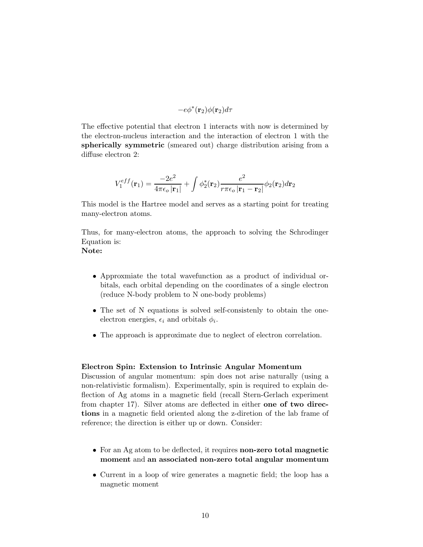$$
-e\phi^*({\bf r}_2)\phi({\bf r}_2)d\tau
$$

The effective potential that electron 1 interacts with now is determined by the electron-nucleus interaction and the interaction of electron 1 with the spherically symmetric (smeared out) charge distribution arising from a diffuse electron 2:

$$
V_1^{eff}(\mathbf{r}_1) = \frac{-2e^2}{4\pi\epsilon_o |\mathbf{r}_1|} + \int \phi_2^*(\mathbf{r}_2) \frac{e^2}{r\pi\epsilon_o |\mathbf{r}_1 - \mathbf{r}_2|} \phi_2(\mathbf{r}_2) d\mathbf{r}_2
$$

This model is the Hartree model and serves as a starting point for treating many-electron atoms.

Thus, for many-electron atoms, the approach to solving the Schrodinger Equation is:

# Note:

- Approxmiate the total wavefunction as a product of individual orbitals, each orbital depending on the coordinates of a single electron (reduce N-body problem to N one-body problems)
- The set of N equations is solved self-consistenly to obtain the oneelectron energies,  $\epsilon_i$  and orbitals  $\phi_i$ .
- The approach is approximate due to neglect of electron correlation.

#### Electron Spin: Extension to Intrinsic Angular Momentum

Discussion of angular momentum: spin does not arise naturally (using a non-relativistic formalism). Experimentally, spin is required to explain deflection of Ag atoms in a magnetic field (recall Stern-Gerlach experiment from chapter 17). Silver atoms are deflected in either one of two directions in a magnetic field oriented along the z-diretion of the lab frame of reference; the direction is either up or down. Consider:

- For an Ag atom to be deflected, it requires **non-zero total magnetic** moment and an associated non-zero total angular momentum
- Current in a loop of wire generates a magnetic field; the loop has a magnetic moment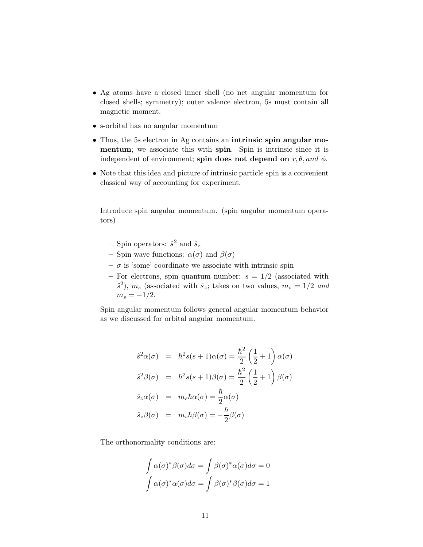- Ag atoms have a closed inner shell (no net angular momentum for closed shells; symmetry); outer valence electron, 5s must contain all magnetic moment.
- s-orbital has no angular momentum
- Thus, the 5s electron in Ag contains an intrinsic spin angular momentum; we associate this with spin. Spin is intrinsic since it is independent of environment; spin does not depend on  $r, \theta,$  and  $\phi$ .
- Note that this idea and picture of intrinsic particle spin is a convenient classical way of accounting for experiment.

Introduce spin angular momentum. (spin angular momentum operators)

- Spin operators:  $\hat{s}^2$  and  $\hat{s}_z$
- Spin wave functions:  $\alpha(\sigma)$  and  $\beta(\sigma)$
- $\sigma$  is 'some' coordinate we associate with intrinsic spin
- For electrons, spin quantum number:  $s = 1/2$  (associated with  $\hat{s}^2$ ),  $m_s$  (associated with  $\hat{s}_z$ ; takes on two values,  $m_s = 1/2$  and  $m_s = -1/2$ .

Spin angular momentum follows general angular momentum behavior as we discussed for orbital angular momentum.

$$
\hat{s}^2 \alpha(\sigma) = \hbar^2 s(s+1)\alpha(\sigma) = \frac{\hbar^2}{2} \left(\frac{1}{2} + 1\right) \alpha(\sigma)
$$
  

$$
\hat{s}^2 \beta(\sigma) = \hbar^2 s(s+1)\beta(\sigma) = \frac{\hbar^2}{2} \left(\frac{1}{2} + 1\right) \beta(\sigma)
$$
  

$$
\hat{s}_z \alpha(\sigma) = m_s \hbar \alpha(\sigma) = \frac{\hbar}{2} \alpha(\sigma)
$$
  

$$
\hat{s}_z \beta(\sigma) = m_s \hbar \beta(\sigma) = -\frac{\hbar}{2} \beta(\sigma)
$$

The orthonormality conditions are:

$$
\int \alpha(\sigma)^* \beta(\sigma) d\sigma = \int \beta(\sigma)^* \alpha(\sigma) d\sigma = 0
$$

$$
\int \alpha(\sigma)^* \alpha(\sigma) d\sigma = \int \beta(\sigma)^* \beta(\sigma) d\sigma = 1
$$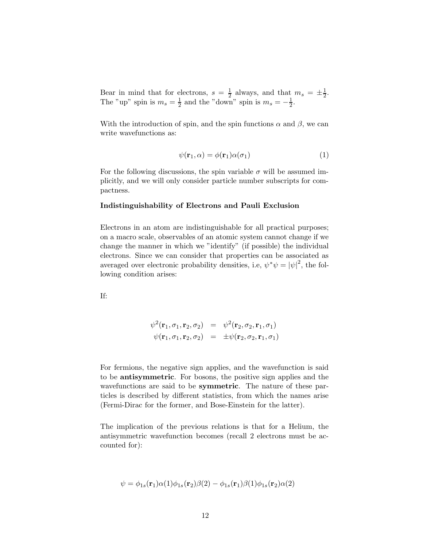Bear in mind that for electrons,  $s = \frac{1}{2}$  $\frac{1}{2}$  always, and that  $m_s = \pm \frac{1}{2}$  $\frac{1}{2}$ . The "up" spin is  $m_s = \frac{1}{2}$  $\frac{1}{2}$  and the "down" spin is  $m_s = -\frac{1}{2}$  $\frac{1}{2}$ .

With the introduction of spin, and the spin functions  $\alpha$  and  $\beta$ , we can write wavefunctions as:

$$
\psi(\mathbf{r}_1, \alpha) = \phi(\mathbf{r}_1)\alpha(\sigma_1) \tag{1}
$$

For the following discussions, the spin variable  $\sigma$  will be assumed implicitly, and we will only consider particle number subscripts for compactness.

#### Indistinguishability of Electrons and Pauli Exclusion

Electrons in an atom are indistinguishable for all practical purposes; on a macro scale, observables of an atomic system cannot change if we change the manner in which we "identify" (if possible) the individual electrons. Since we can consider that properties can be associated as averaged over electronic probability densities, i.e,  $\psi^* \psi = |\psi|^2$ , the following condition arises:

If:

$$
\psi^2(\mathbf{r}_1, \sigma_1, \mathbf{r}_2, \sigma_2) = \psi^2(\mathbf{r}_2, \sigma_2, \mathbf{r}_1, \sigma_1)
$$
  

$$
\psi(\mathbf{r}_1, \sigma_1, \mathbf{r}_2, \sigma_2) = \pm \psi(\mathbf{r}_2, \sigma_2, \mathbf{r}_1, \sigma_1)
$$

For fermions, the negative sign applies, and the wavefunction is said to be antisymmetric. For bosons, the positive sign applies and the wavefunctions are said to be **symmetric**. The nature of these particles is described by different statistics, from which the names arise (Fermi-Dirac for the former, and Bose-Einstein for the latter).

The implication of the previous relations is that for a Helium, the antisymmetric wavefunction becomes (recall 2 electrons must be accounted for):

$$
\psi = \phi_{1s}(\mathbf{r}_1)\alpha(1)\phi_{1s}(\mathbf{r}_2)\beta(2) - \phi_{1s}(\mathbf{r}_1)\beta(1)\phi_{1s}(\mathbf{r}_2)\alpha(2)
$$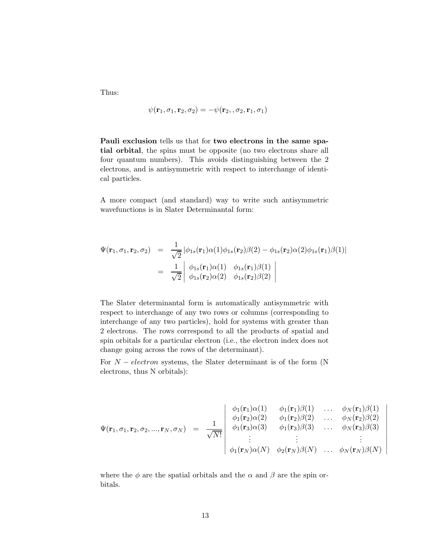Thus:

$$
\psi(\mathbf{r}_1,\sigma_1,\mathbf{r}_2,\sigma_2)=-\psi(\mathbf{r}_2,,\sigma_2,\mathbf{r}_1,\sigma_1)
$$

Pauli exclusion tells us that for two electrons in the same spatial orbital, the spins must be opposite (no two electrons share all four quantum numbers). This avoids distinguishing between the 2 electrons, and is antisymmetric with respect to interchange of identical particles.

A more compact (and standard) way to write such antisymmetric wavefunctions is in Slater Determinantal form:

$$
\Psi(\mathbf{r}_1, \sigma_1, \mathbf{r}_2, \sigma_2) = \frac{1}{\sqrt{2}} |\phi_{1s}(\mathbf{r}_1)\alpha(1)\phi_{1s}(\mathbf{r}_2)\beta(2) - \phi_{1s}(\mathbf{r}_2)\alpha(2)\phi_{1s}(\mathbf{r}_1)\beta(1)|
$$
  
\n
$$
= \frac{1}{\sqrt{2}} \begin{vmatrix} \phi_{1s}(\mathbf{r}_1)\alpha(1) & \phi_{1s}(\mathbf{r}_1)\beta(1) \\ \phi_{1s}(\mathbf{r}_2)\alpha(2) & \phi_{1s}(\mathbf{r}_2)\beta(2) \end{vmatrix}
$$

The Slater determinantal form is automatically antisymmetric with respect to interchange of any two rows or columns (corresponding to interchange of any two particles), hold for systems with greater than 2 electrons. The rows correspond to all the products of spatial and spin orbitals for a particular electron (i.e., the electron index does not change going across the rows of the determinant).

For  $N - electron$  systems, the Slater determinant is of the form (N electrons, thus N orbitals):

$$
\Psi(\mathbf{r}_1, \sigma_1, \mathbf{r}_2, \sigma_2, ..., \mathbf{r}_N, \sigma_N) = \frac{1}{\sqrt{N!}} \begin{vmatrix}\n\phi_1(\mathbf{r}_1)\alpha(1) & \phi_1(\mathbf{r}_1)\beta(1) & \dots & \phi_N(\mathbf{r}_1)\beta(1) \\
\phi_1(\mathbf{r}_2)\alpha(2) & \phi_1(\mathbf{r}_2)\beta(2) & \dots & \phi_N(\mathbf{r}_2)\beta(2) \\
\phi_1(\mathbf{r}_3)\alpha(3) & \phi_1(\mathbf{r}_3)\beta(3) & \dots & \phi_N(\mathbf{r}_3)\beta(3) \\
\vdots & \vdots & \vdots \\
\phi_1(\mathbf{r}_N)\alpha(N) & \phi_2(\mathbf{r}_N)\beta(N) & \dots & \phi_N(\mathbf{r}_N)\beta(N)\n\end{vmatrix}
$$

 $\overline{\phantom{a}}$  $\mathcal{L}$ I  $\overline{\phantom{a}}$  $\overline{\phantom{a}}$  $\overline{\phantom{a}}$  $\overline{\phantom{a}}$  $\overline{\phantom{a}}$  $\overline{\phantom{a}}$  $\overline{\phantom{a}}$  $\overline{\phantom{a}}$  $\mid$ 

where the  $\phi$  are the spatial orbitals and the  $\alpha$  and  $\beta$  are the spin orbitals.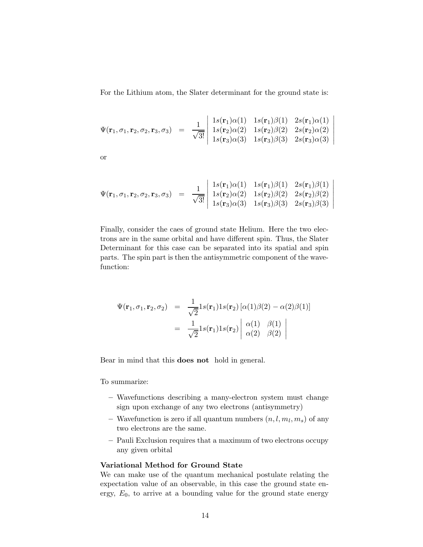For the Lithium atom, the Slater determinant for the ground state is:

$$
\Psi(\mathbf{r}_1,\sigma_1,\mathbf{r}_2,\sigma_2,\mathbf{r}_3,\sigma_3) = \frac{1}{\sqrt{3!}} \begin{vmatrix} 1s(\mathbf{r}_1)\alpha(1) & 1s(\mathbf{r}_1)\beta(1) & 2s(\mathbf{r}_1)\alpha(1) \\ 1s(\mathbf{r}_2)\alpha(2) & 1s(\mathbf{r}_2)\beta(2) & 2s(\mathbf{r}_2)\alpha(2) \\ 1s(\mathbf{r}_3)\alpha(3) & 1s(\mathbf{r}_3)\beta(3) & 2s(\mathbf{r}_3)\alpha(3) \end{vmatrix}
$$

 $\overline{\phantom{a}}$  $\overline{\phantom{a}}$  $\overline{\phantom{a}}$  $\overline{\phantom{a}}$  $\overline{\phantom{a}}$  $\overline{\phantom{a}}$  $\overline{\phantom{a}}$ 

 $\overline{\phantom{a}}$  $\overline{\phantom{a}}$  $\overline{\phantom{a}}$  $\overline{\phantom{a}}$  $\overline{\phantom{a}}$  $\overline{\phantom{a}}$  $\overline{\phantom{a}}$ 

or

$$
\Psi(\mathbf{r}_1, \sigma_1, \mathbf{r}_2, \sigma_2, \mathbf{r}_3, \sigma_3) = \frac{1}{\sqrt{3!}} \begin{vmatrix} 1s(\mathbf{r}_1)\alpha(1) & 1s(\mathbf{r}_1)\beta(1) & 2s(\mathbf{r}_1)\beta(1) \\ 1s(\mathbf{r}_2)\alpha(2) & 1s(\mathbf{r}_2)\beta(2) & 2s(\mathbf{r}_2)\beta(2) \\ 1s(\mathbf{r}_3)\alpha(3) & 1s(\mathbf{r}_3)\beta(3) & 2s(\mathbf{r}_3)\beta(3) \end{vmatrix}
$$

Finally, consider the caes of ground state Helium. Here the two electrons are in the same orbital and have different spin. Thus, the Slater Determinant for this case can be separated into its spatial and spin parts. The spin part is then the antisymmetric component of the wavefunction:

$$
\Psi(\mathbf{r}_1, \sigma_1, \mathbf{r}_2, \sigma_2) = \frac{1}{\sqrt{2}} 1s(\mathbf{r}_1) 1s(\mathbf{r}_2) [\alpha(1)\beta(2) - \alpha(2)\beta(1)]
$$

$$
= \frac{1}{\sqrt{2}} 1s(\mathbf{r}_1) 1s(\mathbf{r}_2) \begin{vmatrix} \alpha(1) & \beta(1) \\ \alpha(2) & \beta(2) \end{vmatrix}
$$

Bear in mind that this does not hold in general.

To summarize:

- Wavefunctions describing a many-electron system must change sign upon exchange of any two electrons (antisymmetry)
- Wavefunction is zero if all quantum numbers  $(n, l, m_l, m_s)$  of any two electrons are the same.
- Pauli Exclusion requires that a maximum of two electrons occupy any given orbital

#### Variational Method for Ground State

We can make use of the quantum mechanical postulate relating the expectation value of an observable, in this case the ground state energy,  $E_0$ , to arrive at a bounding value for the ground state energy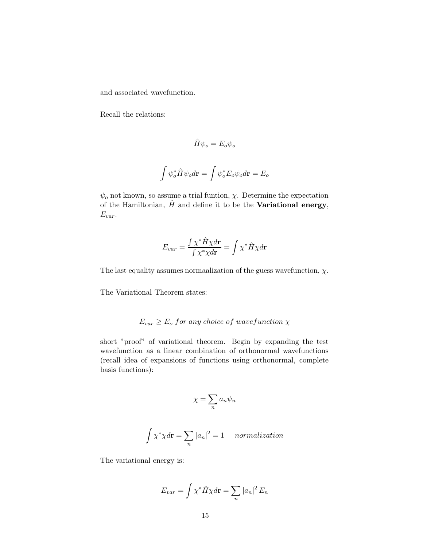and associated wavefunction.

Recall the relations:

$$
\hat{H}\psi_o = E_o \psi_o
$$
  

$$
\int \psi_o^* \hat{H} \psi_o d\mathbf{r} = \int \psi_o^* E_o \psi_o d\mathbf{r} = E_o
$$

 $\psi_o$  not known, so assume a trial funtion,  $\chi$ . Determine the expectation of the Hamiltonian,  $\hat{H}$  and define it to be the **Variational energy**, Evar.

$$
E_{var} = \frac{\int \chi^* \hat{H} \chi d\mathbf{r}}{\int \chi^* \chi d\mathbf{r}} = \int \chi^* \hat{H} \chi d\mathbf{r}
$$

The last equality assumes normaalization of the guess wavefunction,  $\chi$ .

The Variational Theorem states:

## $E_{var} \ge E_o$  for any choice of wavefunction  $\chi$

short "proof" of variational theorem. Begin by expanding the test wavefunction as a linear combination of orthonormal wavefunctions (recall idea of expansions of functions using orthonormal, complete basis functions):

$$
\chi=\sum_n a_n\psi_n
$$

$$
\int \chi^* \chi d\mathbf{r} = \sum_n |a_n|^2 = 1 \quad normalization
$$

The variational energy is:

$$
E_{var} = \int \chi^* \hat{H} \chi d\mathbf{r} = \sum_n |a_n|^2 E_n
$$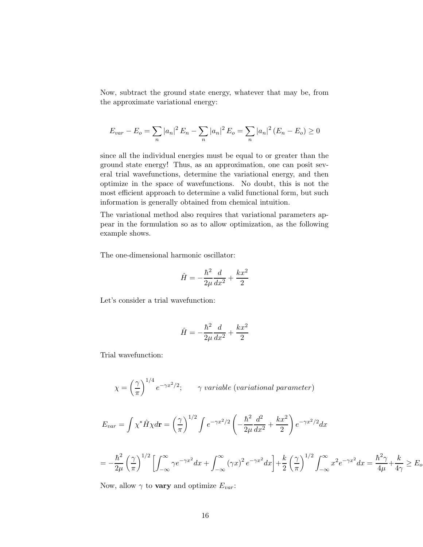Now, subtract the ground state energy, whatever that may be, from the approximate variational energy:

$$
E_{var} - E_o = \sum_n |a_n|^2 E_n - \sum_n |a_n|^2 E_o = \sum_n |a_n|^2 (E_n - E_o) \ge 0
$$

since all the individual energies must be equal to or greater than the ground state energy! Thus, as an approximation, one can posit several trial wavefunctions, determine the variational energy, and then optimize in the space of wavefunctions. No doubt, this is not the most efficient approach to determine a valid functional form, but such information is generally obtained from chemical intuition.

The variational method also requires that variational parameters appear in the formulation so as to allow optimization, as the following example shows.

The one-dimensional harmonic oscillator:

$$
\hat{H} = -\frac{\hbar^2}{2\mu} \frac{d}{dx^2} + \frac{kx^2}{2}
$$

Let's consider a trial wavefunction:

$$
\hat{H} = -\frac{\hbar^2}{2\mu} \frac{d}{dx^2} + \frac{kx^2}{2}
$$

Trial wavefunction:

$$
\chi = \left(\frac{\gamma}{\pi}\right)^{1/4} e^{-\gamma x^2/2}; \qquad \gamma \text{ variable (variational parameter)}
$$

$$
E_{var} = \int \chi^* \hat{H} \chi d\mathbf{r} = \left(\frac{\gamma}{\pi}\right)^{1/2} \int e^{-\gamma x^2/2} \left(-\frac{\hbar^2}{2\mu} \frac{d^2}{dx^2} + \frac{kx^2}{2}\right) e^{-\gamma x^2/2} dx
$$

$$
= -\frac{\hbar^2}{2\mu} \left(\frac{\gamma}{\pi}\right)^{1/2} \left[ \int_{-\infty}^{\infty} \gamma e^{-\gamma x^2} dx + \int_{-\infty}^{\infty} (\gamma x)^2 e^{-\gamma x^2} dx \right] + \frac{k}{2} \left(\frac{\gamma}{\pi}\right)^{1/2} \int_{-\infty}^{\infty} x^2 e^{-\gamma x^2} dx = \frac{\hbar^2 \gamma}{4\mu} + \frac{k}{4\gamma} \ge E_0
$$

Now, allow  $\gamma$  to **vary** and optimize  $E_{var}$ :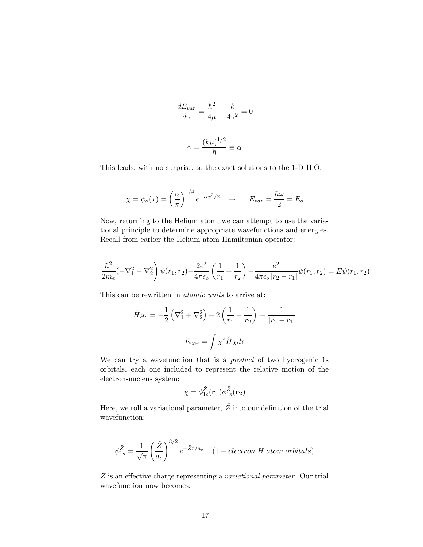$$
\frac{dE_{var}}{d\gamma} = \frac{\hbar^2}{4\mu} - \frac{k}{4\gamma^2} = 0
$$

$$
\gamma = \frac{(k\mu)^{1/2}}{\hbar} \equiv \alpha
$$

This leads, with no surprise, to the exact solutions to the 1-D H.O.

$$
\chi = \psi_o(x) = \left(\frac{\alpha}{\pi}\right)^{1/4} e^{-\alpha x^2/2} \quad \to \quad E_{var} = \frac{\hbar \omega}{2} = E_o
$$

Now, returning to the Helium atom, we can attempt to use the variational principle to determine appropriate wavefunctions and energies. Recall from earlier the Helium atom Hamiltonian operator:

$$
\frac{\hbar^2}{2m_e}(-\nabla_1^2 - \nabla_2^2)\psi(r_1, r_2) - \frac{2e^2}{4\pi\epsilon_o} \left(\frac{1}{r_1} + \frac{1}{r_2}\right) + \frac{e^2}{4\pi\epsilon_o |r_2 - r_1|}\psi(r_1, r_2) = E\psi(r_1, r_2)
$$

This can be rewritten in *atomic units* to arrive at:

$$
\hat{H}_{He} = -\frac{1}{2} \left( \nabla_1^2 + \nabla_2^2 \right) - 2 \left( \frac{1}{r_1} + \frac{1}{r_2} \right) + \frac{1}{|r_2 - r_1|}
$$

$$
E_{var} = \int \chi^* \hat{H} \chi d\mathbf{r}
$$

We can try a wavefunction that is a *product* of two hydrogenic 1s orbitals, each one included to represent the relative motion of the electron-nucleus system:

$$
\chi = \phi_{1s}^{\tilde{Z}}(\mathbf{r_1})\phi_{1s}^{\tilde{Z}}(\mathbf{r_2})
$$

Here, we roll a variational parameter,  $\tilde{Z}$  into our definition of the trial wavefunction:

$$
\phi_{1s}^{\tilde{Z}} = \frac{1}{\sqrt{\pi}} \left( \frac{\tilde{Z}}{a_o} \right)^{3/2} e^{-\tilde{Z}r/a_o} \quad (1 - electron \ H \ atom \ orbitals)
$$

 $\tilde{Z}$  is an effective charge representing a variational parameter. Our trial wavefunction now becomes: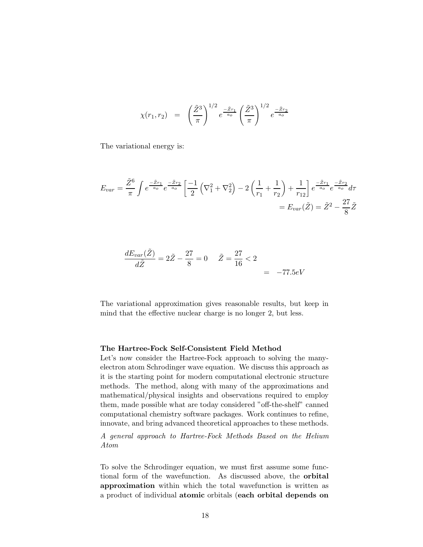$$
\chi(r_1, r_2) = \left(\frac{\tilde{Z}^3}{\pi}\right)^{1/2} e^{\frac{-\tilde{Z}r_1}{a_o}} \left(\frac{\tilde{Z}^3}{\pi}\right)^{1/2} e^{\frac{-\tilde{Z}r_2}{a_o}}
$$

The variational energy is:

$$
E_{var} = \frac{\tilde{Z}^6}{\pi} \int e^{\frac{-\tilde{Z}r_1}{a_o}} e^{\frac{-\tilde{Z}r_2}{a_o}} \left[ \frac{-1}{2} \left( \nabla_1^2 + \nabla_2^2 \right) - 2 \left( \frac{1}{r_1} + \frac{1}{r_2} \right) + \frac{1}{r_{12}} \right] e^{\frac{-\tilde{Z}r_1}{a_o}} e^{\frac{-\tilde{Z}r_2}{a_o}} d\tau
$$

$$
= E_{var}(\tilde{Z}) = \tilde{Z}^2 - \frac{27}{8} \tilde{Z}
$$

$$
\frac{dE_{var}(\tilde{Z})}{d\tilde{Z}} = 2\tilde{Z} - \frac{27}{8} = 0 \qquad \tilde{Z} = \frac{27}{16} < 2 = -77.5 \, \text{eV}
$$

The variational approximation gives reasonable results, but keep in mind that the effective nuclear charge is no longer 2, but less.

#### The Hartree-Fock Self-Consistent Field Method

Let's now consider the Hartree-Fock approach to solving the manyelectron atom Schrodinger wave equation. We discuss this approach as it is the starting point for modern computational electronic structure methods. The method, along with many of the approximations and mathematical/physical insights and observations required to employ them, made possible what are today considered "off-the-shelf" canned computational chemistry software packages. Work continues to refine, innovate, and bring advanced theoretical approaches to these methods.

A general approach to Hartree-Fock Methods Based on the Helium Atom

To solve the Schrodinger equation, we must first assume some functional form of the wavefunction. As discussed above, the orbital approximation within which the total wavefunction is written as a product of individual atomic orbitals (each orbital depends on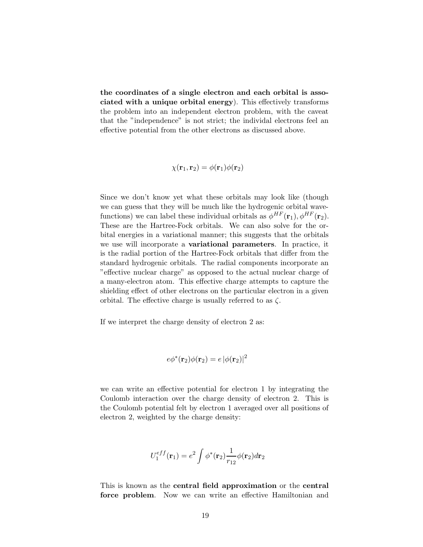the coordinates of a single electron and each orbital is associated with a unique orbital energy). This effectively transforms the problem into an independent electron problem, with the caveat that the "independence" is not strict; the individal electrons feel an effective potential from the other electrons as discussed above.

$$
\chi(\mathbf{r}_1,\mathbf{r}_2)=\phi(\mathbf{r}_1)\phi(\mathbf{r}_2)
$$

Since we don't know yet what these orbitals may look like (though we can guess that they will be much like the hydrogenic orbital wavefunctions) we can label these individual orbitals as  $\phi^{HF}(\mathbf{r}_1), \phi^{HF}(\mathbf{r}_2)$ . These are the Hartree-Fock orbitals. We can also solve for the orbital energies in a variational manner; this suggests that the orbitals we use will incorporate a variational parameters. In practice, it is the radial portion of the Hartree-Fock orbitals that differ from the standard hydrogenic orbitals. The radial components incorporate an "effective nuclear charge" as opposed to the actual nuclear charge of a many-electron atom. This effective charge attempts to capture the shielding effect of other electrons on the particular electron in a given orbital. The effective charge is usually referred to as  $\zeta$ .

If we interpret the charge density of electron 2 as:

$$
e\phi^*(\mathbf{r}_2)\phi(\mathbf{r}_2) = e |\phi(\mathbf{r}_2)|^2
$$

we can write an effective potential for electron 1 by integrating the Coulomb interaction over the charge density of electron 2. This is the Coulomb potential felt by electron 1 averaged over all positions of electron 2, weighted by the charge density:

$$
U_1^{eff}(\mathbf{r}_1) = e^2 \int \phi^*(\mathbf{r}_2) \frac{1}{r_{12}} \phi(\mathbf{r}_2) d\mathbf{r}_2
$$

This is known as the central field approximation or the central force problem. Now we can write an effective Hamiltonian and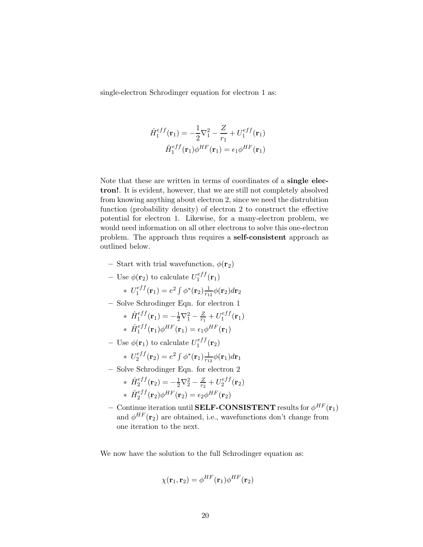single-electron Schrodinger equation for electron 1 as:

$$
\hat{H}_1^{eff}(\mathbf{r}_1) = -\frac{1}{2}\nabla_1^2 - \frac{Z}{r_1} + U_1^{eff}(\mathbf{r}_1)
$$

$$
\hat{H}_1^{eff}(\mathbf{r}_1)\phi^{HF}(\mathbf{r}_1) = \epsilon_1\phi^{HF}(\mathbf{r}_1)
$$

Note that these are written in terms of coordinates of a single electron!. It is evident, however, that we are still not completely absolved from knowing anything about electron 2, since we need the distrubition function (probability density) of electron 2 to construct the effective potential for electron 1. Likewise, for a many-electron problem, we would need information on all other electrons to solve this one-electron problem. The approach thus requires a self-consistent approach as outlined below.

- Start with trial wavefunction,  $\phi(\mathbf{r}_2)$
- Use  $\phi(\mathbf{r}_2)$  to calculate  $U_1^{eff}$  $\mathbf{f}_{1}^{e_{JJ}}(\mathbf{r}_{1})$  $* U_1^{eff}$  $\epsilon_{1}^{eff}({\bf r}_1)=e^2\int \phi^*({\bf r}_2)\frac{1}{r_1}$  $\frac{1}{r_{12}}\phi(\mathbf{r}_{2})d\mathbf{r}_{2}$
- Solve Schrodinger Eqn. for electron 1

\* 
$$
\hat{H}_1^{eff}(\mathbf{r}_1) = -\frac{1}{2}\nabla_1^2 - \frac{Z}{r_1} + U_1^{eff}(\mathbf{r}_1)
$$
  
\n\*  $\hat{H}_1^{eff}(\mathbf{r}_1)\phi^{HF}(\mathbf{r}_1) = \epsilon_1\phi^{HF}(\mathbf{r}_1)$ 

- Use  $\phi(\mathbf{r}_1)$  to calculate  $U_1^{eff}$  $\mathbf{f}_{1}^{e_{JJ}}(\mathbf{r}_{2})$ 

\* 
$$
U_2^{eff}(\mathbf{r}_2) = e^2 \int \phi^*(\mathbf{r}_1) \frac{1}{r_{12}} \phi(\mathbf{r}_1) d\mathbf{r}_1
$$

– Solve Schrodinger Eqn. for electron 2

\* 
$$
\hat{H}_2^{eff}(\mathbf{r}_2) = -\frac{1}{2}\nabla_2^2 - \frac{Z}{r_2} + U_2^{eff}(\mathbf{r}_2)
$$
  
\n\*  $\hat{H}_2^{eff}(\mathbf{r}_2)\phi^{HF}(\mathbf{r}_2) = \epsilon_2\phi^{HF}(\mathbf{r}_2)$ 

 $-$  Continue iteration until SELF-CONSISTENT results for  $\phi^{HF}({\bf r}_1)$ and  $\phi^{HF}(\mathbf{r}_2)$  are obtained, i.e., wavefunctions don't change from one iteration to the next.

We now have the solution to the full Schrodinger equation as:

$$
\chi(\mathbf{r}_1,\mathbf{r}_2)=\phi^{HF}(\mathbf{r}_1)\phi^{HF}(\mathbf{r}_2)
$$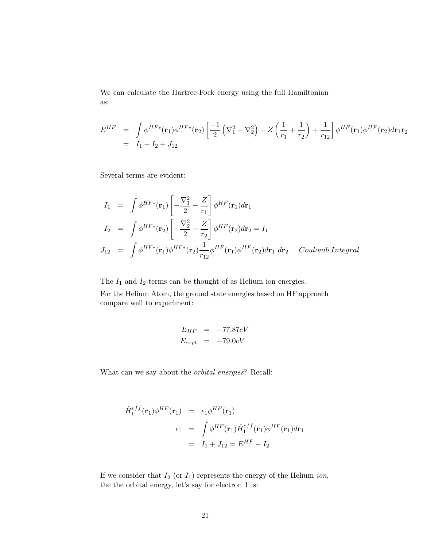We can calculate the Hartree-Fock energy using the full Hamiltonian as:

$$
E^{HF} = \int \phi^{HF*}(\mathbf{r}_{1}) \phi^{HF*}(\mathbf{r}_{2}) \left[ \frac{-1}{2} \left( \nabla_{1}^{2} + \nabla_{2}^{2} \right) - Z \left( \frac{1}{r_{1}} + \frac{1}{r_{2}} \right) + \frac{1}{r_{12}} \right] \phi^{HF}(\mathbf{r}_{1}) \phi^{HF}(\mathbf{r}_{2}) d\mathbf{r}_{1}\mathbf{r}_{2}
$$
  
=  $I_{1} + I_{2} + J_{12}$ 

Several terms are evident:

$$
I_1 = \int \phi^{HF*}(\mathbf{r}_1) \left[ -\frac{\nabla_1^2}{2} - \frac{Z}{r_1} \right] \phi^{HF}(\mathbf{r}_1) d\mathbf{r}_1
$$
  
\n
$$
I_2 = \int \phi^{HF*}(\mathbf{r}_2) \left[ -\frac{\nabla_2^2}{2} - \frac{Z}{r_2} \right] \phi^{HF}(\mathbf{r}_2) d\mathbf{r}_2 = I_1
$$
  
\n
$$
J_{12} = \int \phi^{HF*}(\mathbf{r}_1) \phi^{HF*}(\mathbf{r}_2) \frac{1}{r_{12}} \phi^{HF}(\mathbf{r}_1) \phi^{HF}(\mathbf{r}_2) d\mathbf{r}_1 d\mathbf{r}_2 \quad Coulomb\ Integral
$$

The  $I_1$  and  $I_2$  terms can be thought of as Helium ion energies.

For the Helium Atom, the ground state energies based on HF approach compare well to experiment:

$$
E_{HF} = -77.87eV
$$
  

$$
E_{expt} = -79.0eV
$$

What can we say about the orbital energies? Recall:

$$
\hat{H}_1^{eff}(\mathbf{r}_1)\phi^{HF}(\mathbf{r}_1) = \epsilon_1\phi^{HF}(\mathbf{r}_1)
$$
\n
$$
\epsilon_1 = \int \phi^{HF}(\mathbf{r}_1)\hat{H}_1^{eff}(\mathbf{r}_1)\phi^{HF}(\mathbf{r}_1)d\mathbf{r}_1
$$
\n
$$
= I_1 + J_{12} = E^{HF} - I_2
$$

If we consider that  $I_2$  (or  $I_1$ ) represents the energy of the Helium *ion*, the the orbital energy, let's say for electron 1 is: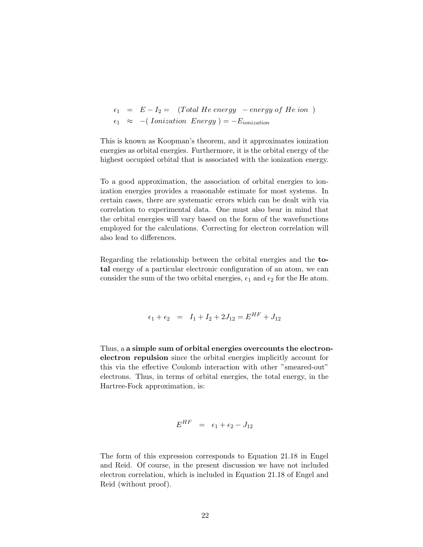$$
\epsilon_1 = E - I_2 = (Total \ He \ energy - energy \ of \ He \ ion)
$$
  

$$
\epsilon_1 \approx -(Ionization \ Energy) = -E_{ionization}
$$

This is known as Koopman's theorem, and it approximates ionization energies as orbital energies. Furthermore, it is the orbital energy of the highest occupied orbital that is associated with the ionization energy.

To a good approximation, the association of orbital energies to ionization energies provides a reasonable estimate for most systems. In certain cases, there are systematic errors which can be dealt with via correlation to experimental data. One must also bear in mind that the orbital energies will vary based on the form of the wavefunctions employed for the calculations. Correcting for electron correlation will also lead to differences.

Regarding the relationship between the orbital energies and the total energy of a particular electronic configuration of an atom, we can consider the sum of the two orbital energies,  $\epsilon_1$  and  $\epsilon_2$  for the He atom.

$$
\epsilon_1 + \epsilon_2 = I_1 + I_2 + 2J_{12} = E^{HF} + J_{12}
$$

Thus, a a simple sum of orbital energies overcounts the electronelectron repulsion since the orbital energies implicitly account for this via the effective Coulomb interaction with other "smeared-out" electrons. Thus, in terms of orbital energies, the total energy, in the Hartree-Fock approximation, is:

$$
E^{HF} = \epsilon_1 + \epsilon_2 - J_{12}
$$

The form of this expression corresponds to Equation 21.18 in Engel and Reid. Of course, in the present discussion we have not included electron correlation, which is included in Equation 21.18 of Engel and Reid (without proof).